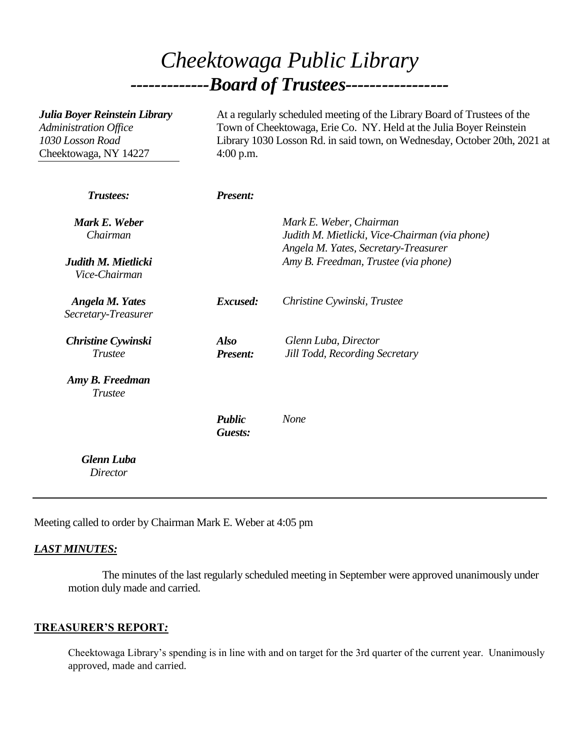# *Cheektowaga Public Library -------------Board of Trustees-----------------*

| Julia Boyer Reinstein Library<br><b>Administration Office</b><br>1030 Losson Road<br>Cheektowaga, NY 14227 | At a regularly scheduled meeting of the Library Board of Trustees of the<br>Town of Cheektowaga, Erie Co. NY. Held at the Julia Boyer Reinstein<br>Library 1030 Losson Rd. in said town, on Wednesday, October 20th, 2021 at<br>$4:00$ p.m. |                                                                                                                   |
|------------------------------------------------------------------------------------------------------------|---------------------------------------------------------------------------------------------------------------------------------------------------------------------------------------------------------------------------------------------|-------------------------------------------------------------------------------------------------------------------|
| Trustees:                                                                                                  | <b>Present:</b>                                                                                                                                                                                                                             |                                                                                                                   |
| Mark E. Weber<br>Chairman                                                                                  |                                                                                                                                                                                                                                             | Mark E. Weber, Chairman<br>Judith M. Mietlicki, Vice-Chairman (via phone)<br>Angela M. Yates, Secretary-Treasurer |
| Judith M. Mietlicki<br>Vice-Chairman                                                                       |                                                                                                                                                                                                                                             | Amy B. Freedman, Trustee (via phone)                                                                              |
| <b>Angela M. Yates</b><br>Secretary-Treasurer                                                              | Excused:                                                                                                                                                                                                                                    | Christine Cywinski, Trustee                                                                                       |
| <b>Christine Cywinski</b><br><b>Trustee</b>                                                                | <b>Also</b><br><b>Present:</b>                                                                                                                                                                                                              | Glenn Luba, Director<br>Jill Todd, Recording Secretary                                                            |
| Amy B. Freedman<br><b>Trustee</b>                                                                          |                                                                                                                                                                                                                                             |                                                                                                                   |
|                                                                                                            | <b>Public</b><br>Guests:                                                                                                                                                                                                                    | <b>None</b>                                                                                                       |
| <b>Glenn Luba</b><br><b>Director</b>                                                                       |                                                                                                                                                                                                                                             |                                                                                                                   |

Meeting called to order by Chairman Mark E. Weber at 4:05 pm

## *LAST MINUTES:*

The minutes of the last regularly scheduled meeting in September were approved unanimously under motion duly made and carried.

## **TREASURER'S REPORT***:*

Cheektowaga Library's spending is in line with and on target for the 3rd quarter of the current year. Unanimously approved, made and carried.